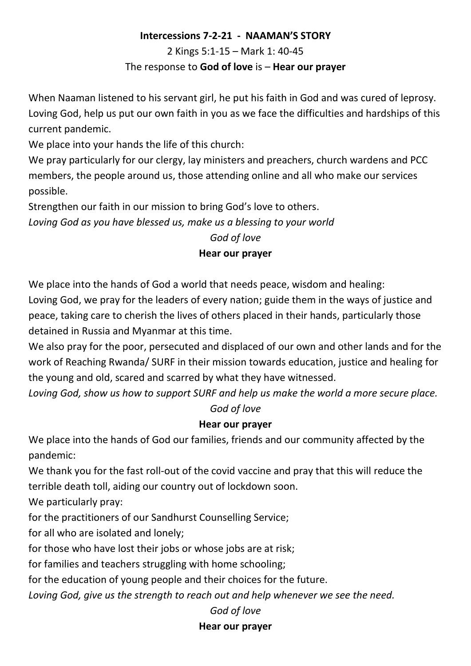#### **Intercessions 7-2-21 - NAAMAN'S STORY**

2 Kings 5:1-15 – Mark 1: 40-45

#### The response to **God of love** is – **Hear our prayer**

When Naaman listened to his servant girl, he put his faith in God and was cured of leprosy. Loving God, help us put our own faith in you as we face the difficulties and hardships of this current pandemic.

We place into your hands the life of this church:

We pray particularly for our clergy, lay ministers and preachers, church wardens and PCC members, the people around us, those attending online and all who make our services possible.

Strengthen our faith in our mission to bring God's love to others.

*Loving God as you have blessed us, make us a blessing to your world*

## *God of love*

## **Hear our prayer**

We place into the hands of God a world that needs peace, wisdom and healing:

Loving God, we pray for the leaders of every nation; guide them in the ways of justice and peace, taking care to cherish the lives of others placed in their hands, particularly those detained in Russia and Myanmar at this time.

We also pray for the poor, persecuted and displaced of our own and other lands and for the work of Reaching Rwanda/ SURF in their mission towards education, justice and healing for the young and old, scared and scarred by what they have witnessed.

*Loving God, show us how to support SURF and help us make the world a more secure place. God of love*

#### **Hear our prayer**

We place into the hands of God our families, friends and our community affected by the pandemic:

We thank you for the fast roll-out of the covid vaccine and pray that this will reduce the terrible death toll, aiding our country out of lockdown soon.

We particularly pray:

for the practitioners of our Sandhurst Counselling Service;

for all who are isolated and lonely;

for those who have lost their jobs or whose jobs are at risk;

for families and teachers struggling with home schooling;

for the education of young people and their choices for the future.

*Loving God, give us the strength to reach out and help whenever we see the need.*

#### *God of love*

#### **Hear our prayer**